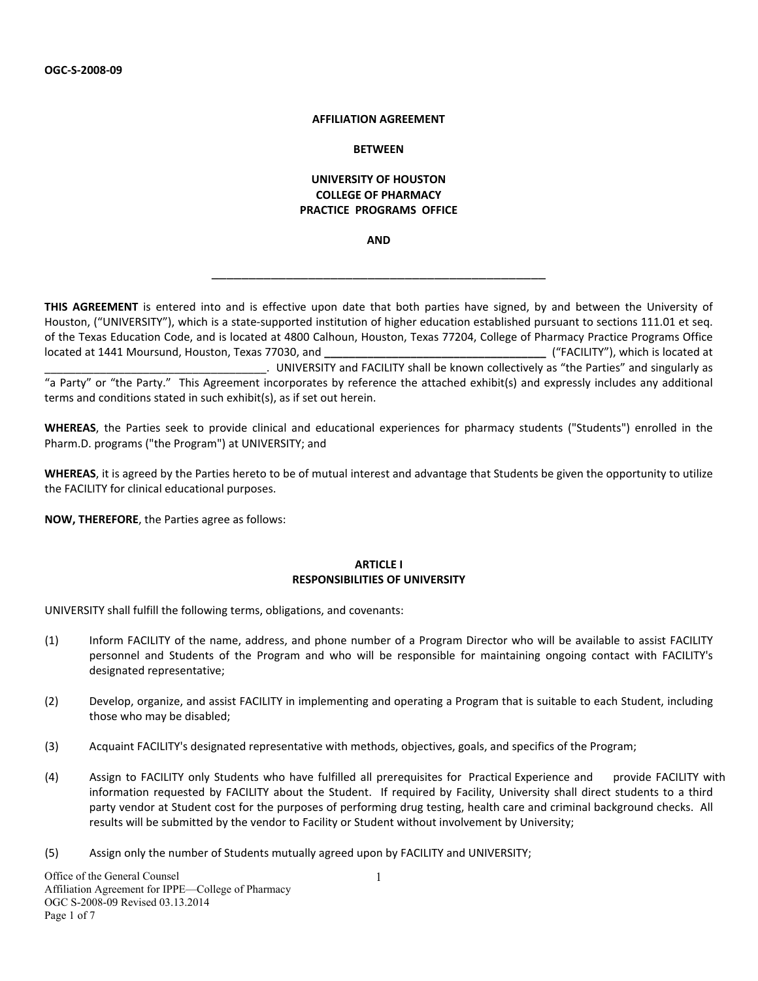#### **AFFILIATION AGREEMENT**

#### **BETWEEN**

### **UNIVERSITY OF HOUSTON COLLEGE OF PHARMACY PRACTICE PROGRAMS OFFICE**

**AND**

\_\_\_\_\_\_\_\_\_\_\_\_\_\_\_\_\_\_\_\_\_\_\_\_\_\_\_\_\_\_\_\_\_\_\_\_\_\_\_\_\_\_\_\_\_

**THIS AGREEMENT** is entered into and is effective upon date that both parties have signed, by and between the University of Houston, ("UNIVERSITY"), which is a state‐supported institution of higher education established pursuant to sections 111.01 et seq. of the Texas Education Code, and is located at 4800 Calhoun, Houston, Texas 77204, College of Pharmacy Practice Programs Office located at 1441 Moursund, Houston, Texas 77030, and **\_\_\_\_\_\_\_\_\_\_\_\_\_\_\_\_\_\_\_\_\_\_\_\_\_\_\_\_\_\_\_\_\_\_\_\_** ("FACILITY"), which is located at \_\_\_\_\_\_\_\_\_\_\_\_\_\_\_\_\_\_\_\_\_\_\_\_\_\_\_\_\_\_\_\_\_\_\_\_. UNIVERSITY and FACILITY shall be known collectively as "the Parties" and singularly as "a Party" or "the Party." This Agreement incorporates by reference the attached exhibit(s) and expressly includes any additional terms and conditions stated in such exhibit(s), as if set out herein.

**WHEREAS**, the Parties seek to provide clinical and educational experiences for pharmacy students ("Students") enrolled in the Pharm.D. programs ("the Program") at UNIVERSITY; and

**WHEREAS**, it is agreed by the Parties hereto to be of mutual interest and advantage that Students be given the opportunity to utilize the FACILITY for clinical educational purposes.

**NOW, THEREFORE**, the Parties agree as follows:

#### **ARTICLE I RESPONSIBILITIES OF UNIVERSITY**

UNIVERSITY shall fulfill the following terms, obligations, and covenants:

- (1) Inform FACILITY of the name, address, and phone number of a Program Director who will be available to assist FACILITY personnel and Students of the Program and who will be responsible for maintaining ongoing contact with FACILITY's designated representative;
- (2) Develop, organize, and assist FACILITY in implementing and operating a Program that is suitable to each Student, including those who may be disabled;
- (3) Acquaint FACILITY's designated representative with methods, objectives, goals, and specifics of the Program;
- (4) Assign to FACILITY only Students who have fulfilled all prerequisites for Practical Experience and provide FACILITY with information requested by FACILITY about the Student. If required by Facility, University shall direct students to a third party vendor at Student cost for the purposes of performing drug testing, health care and criminal background checks. All results will be submitted by the vendor to Facility or Student without involvement by University;
- (5) Assign only the number of Students mutually agreed upon by FACILITY and UNIVERSITY;

1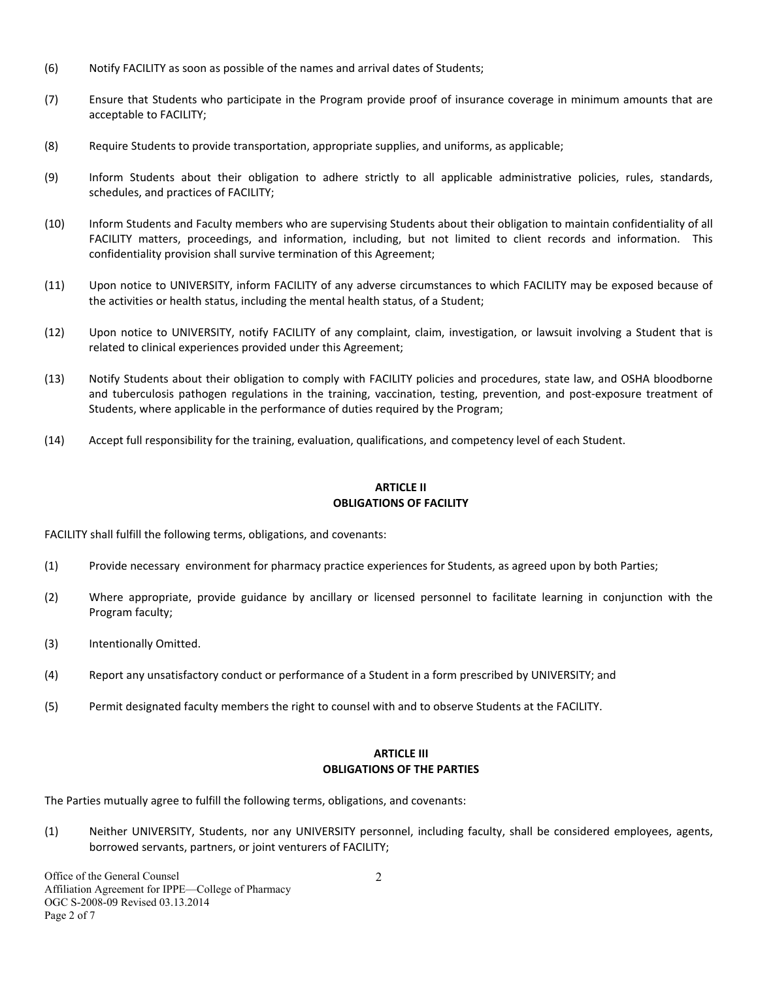- (6) Notify FACILITY as soon as possible of the names and arrival dates of Students;
- (7) Ensure that Students who participate in the Program provide proof of insurance coverage in minimum amounts that are acceptable to FACILITY;
- (8) Require Students to provide transportation, appropriate supplies, and uniforms, as applicable;
- (9) Inform Students about their obligation to adhere strictly to all applicable administrative policies, rules, standards, schedules, and practices of FACILITY;
- (10) Inform Students and Faculty members who are supervising Students about their obligation to maintain confidentiality of all FACILITY matters, proceedings, and information, including, but not limited to client records and information. This confidentiality provision shall survive termination of this Agreement;
- (11) Upon notice to UNIVERSITY, inform FACILITY of any adverse circumstances to which FACILITY may be exposed because of the activities or health status, including the mental health status, of a Student;
- (12) Upon notice to UNIVERSITY, notify FACILITY of any complaint, claim, investigation, or lawsuit involving a Student that is related to clinical experiences provided under this Agreement;
- (13) Notify Students about their obligation to comply with FACILITY policies and procedures, state law, and OSHA bloodborne and tuberculosis pathogen regulations in the training, vaccination, testing, prevention, and post-exposure treatment of Students, where applicable in the performance of duties required by the Program;
- (14) Accept full responsibility for the training, evaluation, qualifications, and competency level of each Student.

## **ARTICLE II OBLIGATIONS OF FACILITY**

FACILITY shall fulfill the following terms, obligations, and covenants:

- (1) Provide necessary environment for pharmacy practice experiences for Students, as agreed upon by both Parties;
- (2) Where appropriate, provide guidance by ancillary or licensed personnel to facilitate learning in conjunction with the Program faculty;
- (3) Intentionally Omitted.
- (4) Report any unsatisfactory conduct or performance of a Student in a form prescribed by UNIVERSITY; and
- (5) Permit designated faculty members the right to counsel with and to observe Students at the FACILITY.

## **ARTICLE III OBLIGATIONS OF THE PARTIES**

The Parties mutually agree to fulfill the following terms, obligations, and covenants:

(1) Neither UNIVERSITY, Students, nor any UNIVERSITY personnel, including faculty, shall be considered employees, agents, borrowed servants, partners, or joint venturers of FACILITY;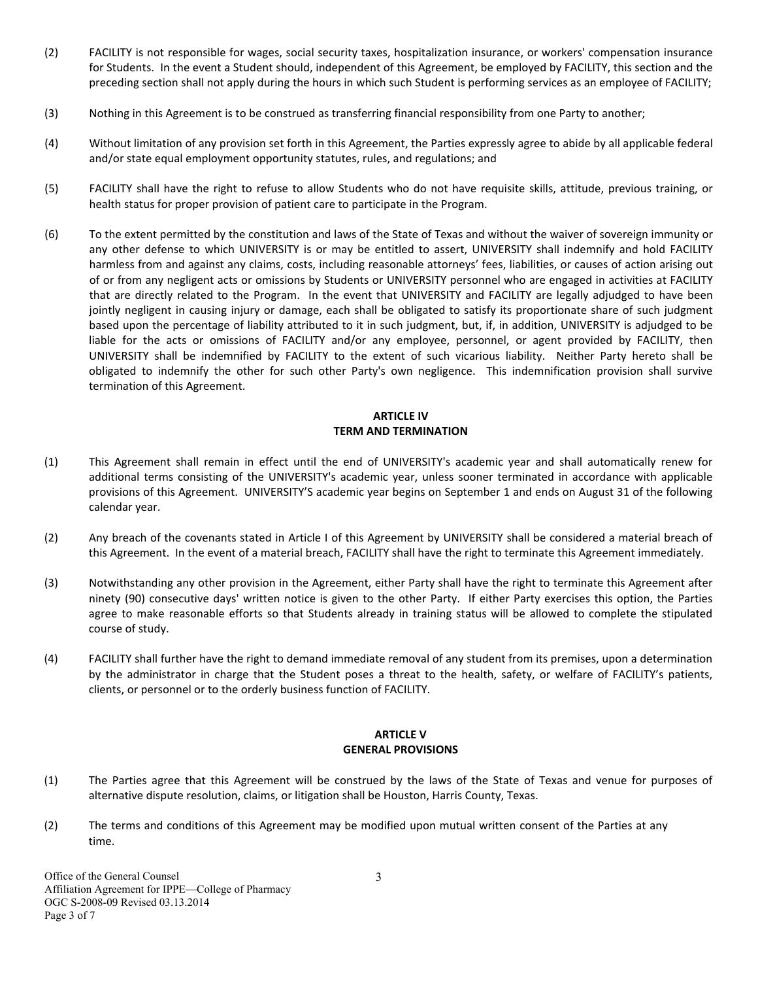- (2) FACILITY is not responsible for wages, social security taxes, hospitalization insurance, or workers' compensation insurance for Students. In the event a Student should, independent of this Agreement, be employed by FACILITY, this section and the preceding section shall not apply during the hours in which such Student is performing services as an employee of FACILITY;
- (3) Nothing in this Agreement is to be construed as transferring financial responsibility from one Party to another;
- (4) Without limitation of any provision set forth in this Agreement, the Parties expressly agree to abide by all applicable federal and/or state equal employment opportunity statutes, rules, and regulations; and
- (5) FACILITY shall have the right to refuse to allow Students who do not have requisite skills, attitude, previous training, or health status for proper provision of patient care to participate in the Program.
- (6) To the extent permitted by the constitution and laws of the State of Texas and without the waiver of sovereign immunity or any other defense to which UNIVERSITY is or may be entitled to assert, UNIVERSITY shall indemnify and hold FACILITY harmless from and against any claims, costs, including reasonable attorneys' fees, liabilities, or causes of action arising out of or from any negligent acts or omissions by Students or UNIVERSITY personnel who are engaged in activities at FACILITY that are directly related to the Program. In the event that UNIVERSITY and FACILITY are legally adjudged to have been jointly negligent in causing injury or damage, each shall be obligated to satisfy its proportionate share of such judgment based upon the percentage of liability attributed to it in such judgment, but, if, in addition, UNIVERSITY is adjudged to be liable for the acts or omissions of FACILITY and/or any employee, personnel, or agent provided by FACILITY, then UNIVERSITY shall be indemnified by FACILITY to the extent of such vicarious liability. Neither Party hereto shall be obligated to indemnify the other for such other Party's own negligence. This indemnification provision shall survive termination of this Agreement.

### **ARTICLE IV TERM AND TERMINATION**

- (1) This Agreement shall remain in effect until the end of UNIVERSITY's academic year and shall automatically renew for additional terms consisting of the UNIVERSITY's academic year, unless sooner terminated in accordance with applicable provisions of this Agreement. UNIVERSITY'S academic year begins on September 1 and ends on August 31 of the following calendar year.
- (2) Any breach of the covenants stated in Article I of this Agreement by UNIVERSITY shall be considered a material breach of this Agreement. In the event of a material breach, FACILITY shall have the right to terminate this Agreement immediately.
- (3) Notwithstanding any other provision in the Agreement, either Party shall have the right to terminate this Agreement after ninety (90) consecutive days' written notice is given to the other Party. If either Party exercises this option, the Parties agree to make reasonable efforts so that Students already in training status will be allowed to complete the stipulated course of study.
- (4) FACILITY shall further have the right to demand immediate removal of any student from its premises, upon a determination by the administrator in charge that the Student poses a threat to the health, safety, or welfare of FACILITY's patients, clients, or personnel or to the orderly business function of FACILITY.

# **ARTICLE V GENERAL PROVISIONS**

- (1) The Parties agree that this Agreement will be construed by the laws of the State of Texas and venue for purposes of alternative dispute resolution, claims, or litigation shall be Houston, Harris County, Texas.
- (2) The terms and conditions of this Agreement may be modified upon mutual written consent of the Parties at any time.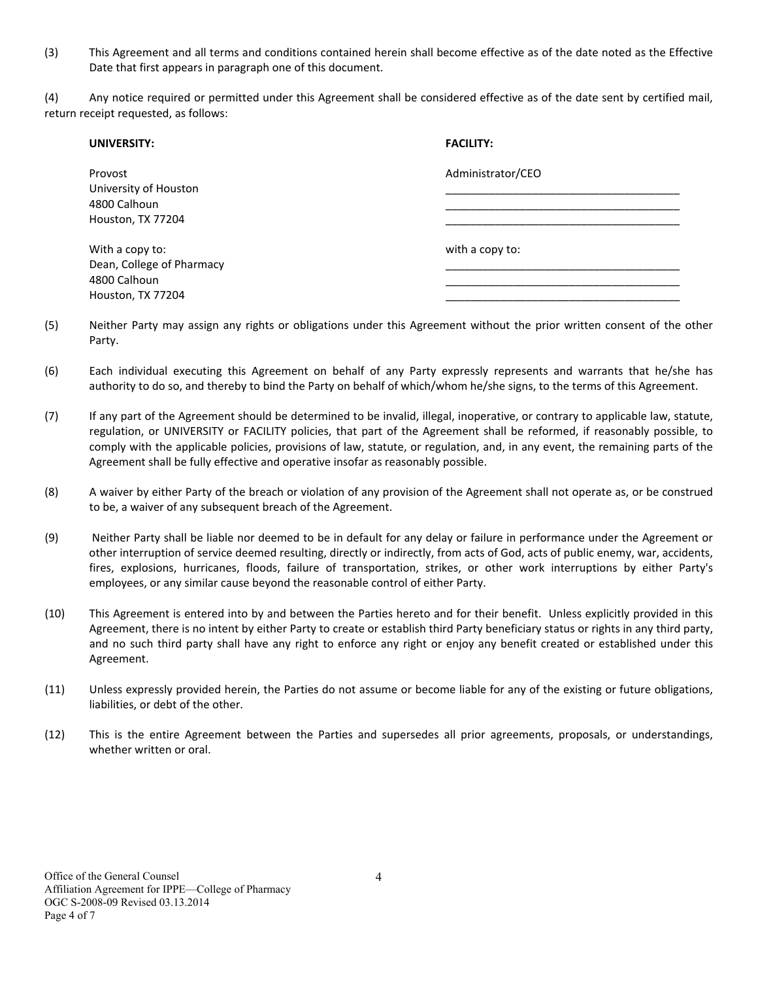(3) This Agreement and all terms and conditions contained herein shall become effective as of the date noted as the Effective Date that first appears in paragraph one of this document.

(4) Any notice required or permitted under this Agreement shall be considered effective as of the date sent by certified mail, return receipt requested, as follows:

| UNIVERSITY:                               | <b>FACILITY:</b>  |
|-------------------------------------------|-------------------|
| Provost<br>University of Houston          | Administrator/CEO |
| 4800 Calhoun                              |                   |
| Houston, TX 77204                         |                   |
| With a copy to:                           | with a copy to:   |
| Dean, College of Pharmacy<br>4800 Calhoun |                   |
| Houston, TX 77204                         |                   |

- (5) Neither Party may assign any rights or obligations under this Agreement without the prior written consent of the other Party.
- (6) Each individual executing this Agreement on behalf of any Party expressly represents and warrants that he/she has authority to do so, and thereby to bind the Party on behalf of which/whom he/she signs, to the terms of this Agreement.
- (7) If any part of the Agreement should be determined to be invalid, illegal, inoperative, or contrary to applicable law, statute, regulation, or UNIVERSITY or FACILITY policies, that part of the Agreement shall be reformed, if reasonably possible, to comply with the applicable policies, provisions of law, statute, or regulation, and, in any event, the remaining parts of the Agreement shall be fully effective and operative insofar as reasonably possible.
- (8) A waiver by either Party of the breach or violation of any provision of the Agreement shall not operate as, or be construed to be, a waiver of any subsequent breach of the Agreement.
- (9) Neither Party shall be liable nor deemed to be in default for any delay or failure in performance under the Agreement or other interruption of service deemed resulting, directly or indirectly, from acts of God, acts of public enemy, war, accidents, fires, explosions, hurricanes, floods, failure of transportation, strikes, or other work interruptions by either Party's employees, or any similar cause beyond the reasonable control of either Party.
- (10) This Agreement is entered into by and between the Parties hereto and for their benefit. Unless explicitly provided in this Agreement, there is no intent by either Party to create or establish third Party beneficiary status or rights in any third party, and no such third party shall have any right to enforce any right or enjoy any benefit created or established under this Agreement.
- (11) Unless expressly provided herein, the Parties do not assume or become liable for any of the existing or future obligations, liabilities, or debt of the other.
- (12) This is the entire Agreement between the Parties and supersedes all prior agreements, proposals, or understandings, whether written or oral.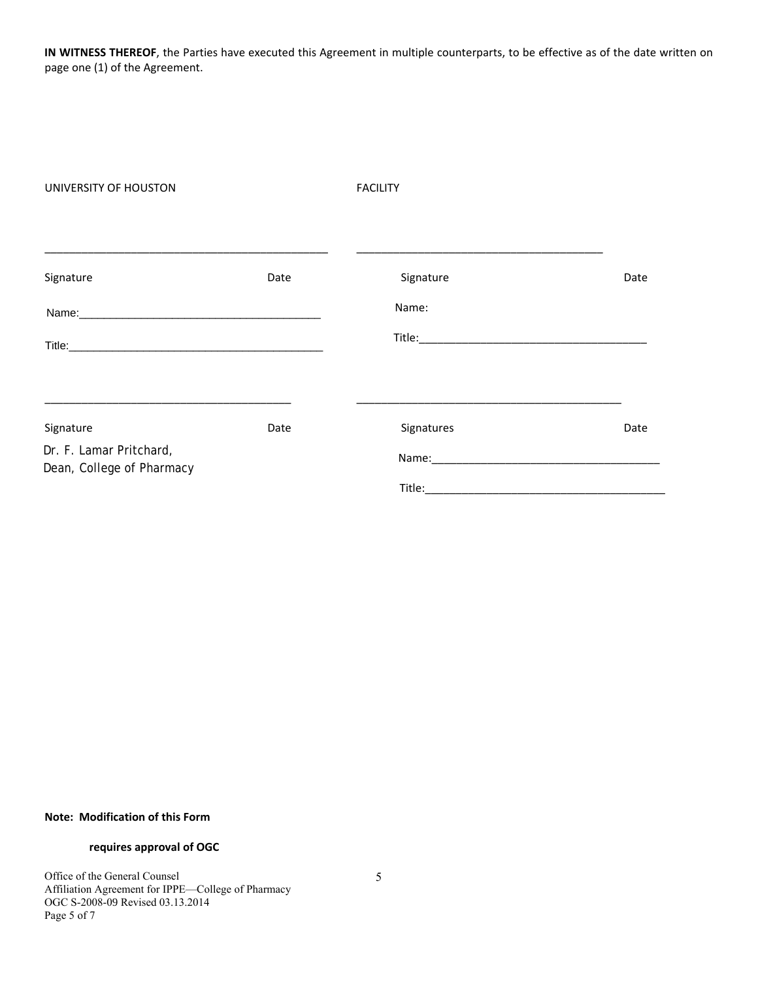**IN WITNESS THEREOF**, the Parties have executed this Agreement in multiple counterparts, to be effective as of the date written on page one (1) of the Agreement.

| UNIVERSITY OF HOUSTON                                |      | <b>FACILITY</b> |      |  |
|------------------------------------------------------|------|-----------------|------|--|
| Signature                                            | Date | Signature       | Date |  |
|                                                      |      |                 |      |  |
|                                                      |      | Name:           |      |  |
|                                                      |      |                 |      |  |
|                                                      |      |                 |      |  |
| Signature                                            | Date | Signatures      | Date |  |
| Dr. F. Lamar Pritchard,<br>Dean, College of Pharmacy |      | Name: Name:     |      |  |
|                                                      |      |                 |      |  |

### **Note: Modification of this Form**

## **requires approval of OGC**

Office of the General Counsel Affiliation Agreement for IPPE—College of Pharmacy OGC S-2008-09 Revised 03.13.2014 Page 5 of 7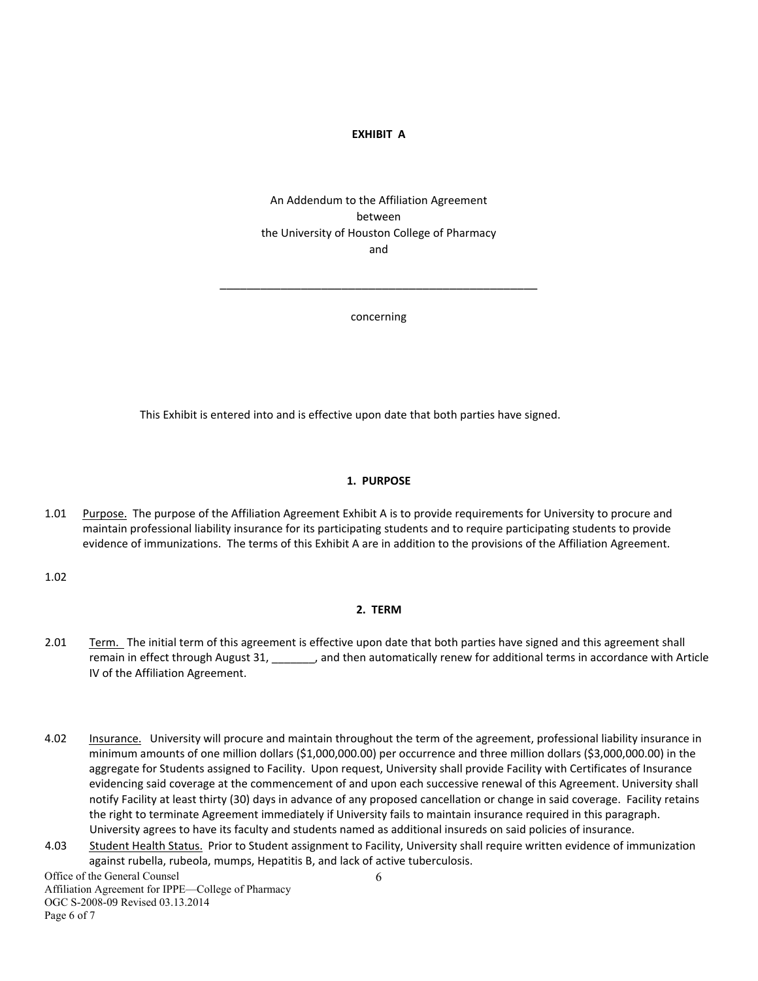### **EXHIBIT A**

# An Addendum to the Affiliation Agreement between the University of Houston College of Pharmacy and

concerning

\_\_\_\_\_\_\_\_\_\_\_\_\_\_\_\_\_\_\_\_\_\_\_\_\_\_\_\_\_\_\_\_\_\_\_\_\_\_\_\_\_\_\_\_\_\_\_

This Exhibit is entered into and is effective upon date that both parties have signed.

#### **1. PURPOSE**

1.01 Purpose. The purpose of the Affiliation Agreement Exhibit A is to provide requirements for University to procure and maintain professional liability insurance for its participating students and to require participating students to provide evidence of immunizations. The terms of this Exhibit A are in addition to the provisions of the Affiliation Agreement.

1.02

## **2. TERM**

- 2.01 Term. The initial term of this agreement is effective upon date that both parties have signed and this agreement shall remain in effect through August 31, \_\_\_\_\_\_\_, and then automatically renew for additional terms in accordance with Article IV of the Affiliation Agreement.
- 4.02 Insurance. University will procure and maintain throughout the term of the agreement, professional liability insurance in minimum amounts of one million dollars (\$1,000,000.00) per occurrence and three million dollars (\$3,000,000.00) in the aggregate for Students assigned to Facility. Upon request, University shall provide Facility with Certificates of Insurance evidencing said coverage at the commencement of and upon each successive renewal of this Agreement. University shall notify Facility at least thirty (30) days in advance of any proposed cancellation or change in said coverage. Facility retains the right to terminate Agreement immediately if University fails to maintain insurance required in this paragraph. University agrees to have its faculty and students named as additional insureds on said policies of insurance.
- 4.03 Student Health Status. Prior to Student assignment to Facility, University shall require written evidence of immunization against rubella, rubeola, mumps, Hepatitis B, and lack of active tuberculosis.

6